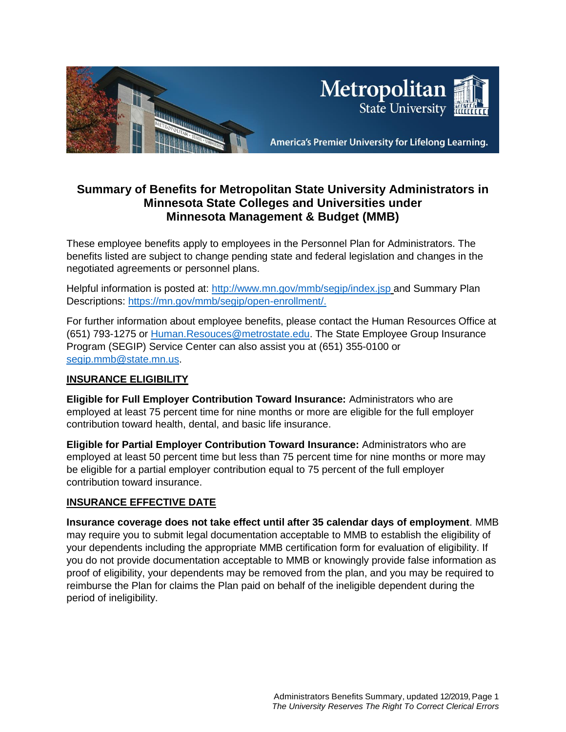

# **Summary of Benefits for Metropolitan State University Administrators in Minnesota State Colleges and Universities under Minnesota Management & Budget (MMB)**

These employee benefits apply to employees in the Personnel Plan for Administrators. The benefits listed are subject to change pending state and federal legislation and changes in the negotiated agreements or personnel plans.

Helpful information is posted at:<http://www.mn.gov/mmb/segip/index.jsp> and Summary Plan Descriptions: [https://mn.gov/mmb/segip/open-enrollment/.](https://mn.gov/mmb/segip/open-enrollment/)

For further information about employee benefits, please contact the Human Resources Office at (651) 793-1275 or [Human.Resouces@metrostate.edu.](mailto:Human.Resouces@metrostate.edu) The State Employee Group Insurance Program (SEGIP) Service Center can also assist you at (651) 355-0100 or [segip.mmb@state.mn.us.](mailto:segip.mmb@state.mn.us)

## **INSURANCE ELIGIBILITY**

**Eligible for Full Employer Contribution Toward Insurance:** Administrators who are employed at least 75 percent time for nine months or more are eligible for the full employer contribution toward health, dental, and basic life insurance.

**Eligible for Partial Employer Contribution Toward Insurance:** Administrators who are employed at least 50 percent time but less than 75 percent time for nine months or more may be eligible for a partial employer contribution equal to 75 percent of the full employer contribution toward insurance.

## **INSURANCE EFFECTIVE DATE**

**Insurance coverage does not take effect until after 35 calendar days of employment**. MMB may require you to submit legal documentation acceptable to MMB to establish the eligibility of your dependents including the appropriate MMB certification form for evaluation of eligibility. If you do not provide documentation acceptable to MMB or knowingly provide false information as proof of eligibility, your dependents may be removed from the plan, and you may be required to reimburse the Plan for claims the Plan paid on behalf of the ineligible dependent during the period of ineligibility.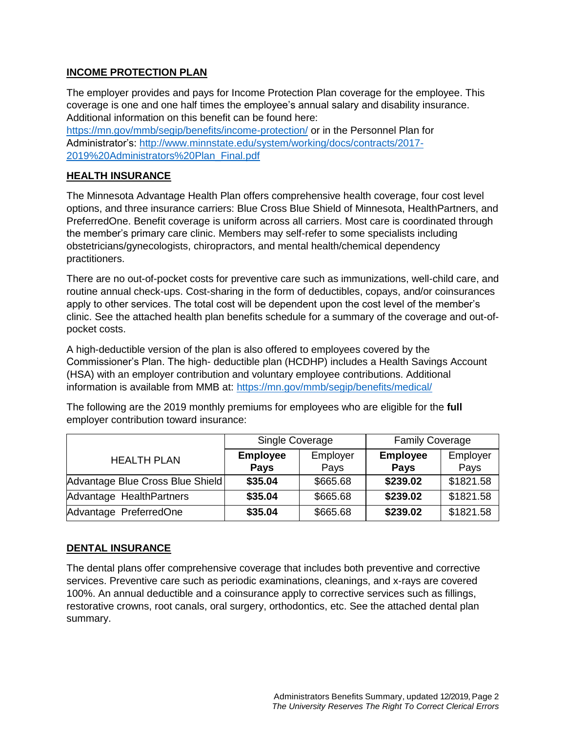## **INCOME PROTECTION PLAN**

The employer provides and pays for Income Protection Plan coverage for the employee. This coverage is one and one half times the employee's annual salary and disability insurance. Additional information on this benefit can be found here: <https://mn.gov/mmb/segip/benefits/income-protection/> or in the Personnel Plan for Administrator's: [http://www.minnstate.edu/system/working/docs/contracts/2017-](http://www.minnstate.edu/system/working/docs/contracts/2017-2019%20Administrators%20Plan_Final.pdf) [2019%20Administrators%20Plan\\_Final.pdf](http://www.minnstate.edu/system/working/docs/contracts/2017-2019%20Administrators%20Plan_Final.pdf)

## **HEALTH INSURANCE**

The Minnesota Advantage Health Plan offers comprehensive health coverage, four cost level options, and three insurance carriers: Blue Cross Blue Shield of Minnesota, HealthPartners, and PreferredOne. Benefit coverage is uniform across all carriers. Most care is coordinated through the member's primary care clinic. Members may self-refer to some specialists including obstetricians/gynecologists, chiropractors, and mental health/chemical dependency practitioners.

There are no out-of-pocket costs for preventive care such as immunizations, well-child care, and routine annual check-ups. Cost-sharing in the form of deductibles, copays, and/or coinsurances apply to other services. The total cost will be dependent upon the cost level of the member's clinic. See the attached health plan benefits schedule for a summary of the coverage and out-ofpocket costs.

A high-deductible version of the plan is also offered to employees covered by the Commissioner's Plan. The high- deductible plan (HCDHP) includes a Health Savings Account (HSA) with an employer contribution and voluntary employee contributions. Additional information is available from MMB at: <https://mn.gov/mmb/segip/benefits/medical/>

The following are the 2019 monthly premiums for employees who are eligible for the **full**  employer contribution toward insurance:

|                                  | Single Coverage |          | <b>Family Coverage</b> |           |
|----------------------------------|-----------------|----------|------------------------|-----------|
| <b>HEALTH PLAN</b>               | <b>Employee</b> | Employer | <b>Employee</b>        | Employer  |
|                                  | <b>Pays</b>     | Pays     | <b>Pays</b>            | Pays      |
| Advantage Blue Cross Blue Shield | \$35.04         | \$665.68 | \$239.02               | \$1821.58 |
| Advantage HealthPartners         | \$35.04         | \$665.68 | \$239.02               | \$1821.58 |
| Advantage PreferredOne           | \$35.04         | \$665.68 | \$239.02               | \$1821.58 |

## **DENTAL INSURANCE**

The dental plans offer comprehensive coverage that includes both preventive and corrective services. Preventive care such as periodic examinations, cleanings, and x-rays are covered 100%. An annual deductible and a coinsurance apply to corrective services such as fillings, restorative crowns, root canals, oral surgery, orthodontics, etc. See the attached dental plan summary.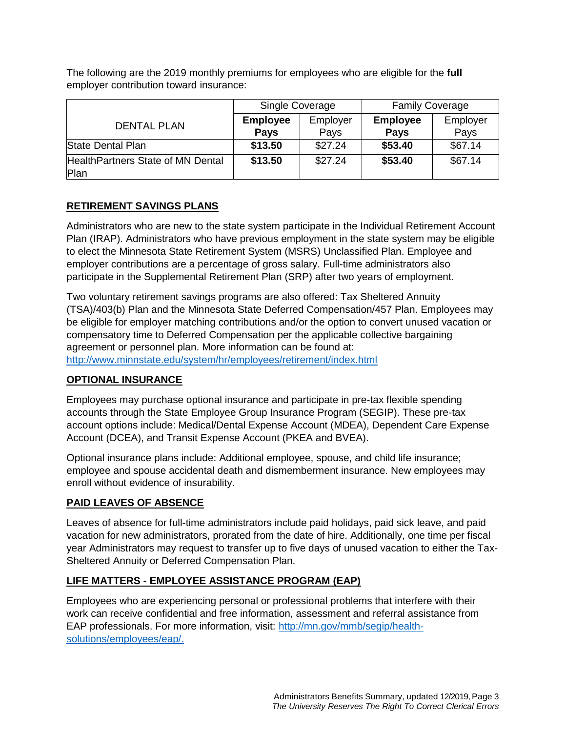|                                           | Single Coverage                |                  | <b>Family Coverage</b>         |                  |
|-------------------------------------------|--------------------------------|------------------|--------------------------------|------------------|
| <b>DENTAL PLAN</b>                        | <b>Employee</b><br><b>Pays</b> | Employer<br>Pays | <b>Employee</b><br><b>Pays</b> | Employer<br>Pays |
| State Dental Plan                         | \$13.50                        | \$27.24          | \$53.40                        | \$67.14          |
| HealthPartners State of MN Dental<br>Plan | \$13.50                        | \$27.24          | \$53.40                        | \$67.14          |

The following are the 2019 monthly premiums for employees who are eligible for the **full**  employer contribution toward insurance:

## **RETIREMENT SAVINGS PLANS**

Administrators who are new to the state system participate in the Individual Retirement Account Plan (IRAP). Administrators who have previous employment in the state system may be eligible to elect the Minnesota State Retirement System (MSRS) Unclassified Plan. Employee and employer contributions are a percentage of gross salary. Full-time administrators also participate in the Supplemental Retirement Plan (SRP) after two years of employment.

Two voluntary retirement savings programs are also offered: Tax Sheltered Annuity (TSA)/403(b) Plan and the Minnesota State Deferred Compensation/457 Plan. Employees may be eligible for employer matching contributions and/or the option to convert unused vacation or compensatory time to Deferred Compensation per the applicable collective bargaining agreement or personnel plan. More information can be found at: <http://www.minnstate.edu/system/hr/employees/retirement/index.html>

#### **OPTIONAL INSURANCE**

Employees may purchase optional insurance and participate in pre-tax flexible spending accounts through the State Employee Group Insurance Program (SEGIP). These pre-tax account options include: Medical/Dental Expense Account (MDEA), Dependent Care Expense Account (DCEA), and Transit Expense Account (PKEA and BVEA).

Optional insurance plans include: Additional employee, spouse, and child life insurance; employee and spouse accidental death and dismemberment insurance. New employees may enroll without evidence of insurability.

## **PAID LEAVES OF ABSENCE**

Leaves of absence for full-time administrators include paid holidays, paid sick leave, and paid vacation for new administrators, prorated from the date of hire. Additionally, one time per fiscal year Administrators may request to transfer up to five days of unused vacation to either the Tax-Sheltered Annuity or Deferred Compensation Plan.

## **LIFE MATTERS - EMPLOYEE ASSISTANCE PROGRAM (EAP)**

Employees who are experiencing personal or professional problems that interfere with their work can receive confidential and free information, assessment and referral assistance from EAP professionals. For more information, visit: [http://mn.gov/mmb/segip/health](http://mn.gov/mmb/segip/health-solutions/employees/eap/)[solutions/employees/eap/.](http://mn.gov/mmb/segip/health-solutions/employees/eap/)